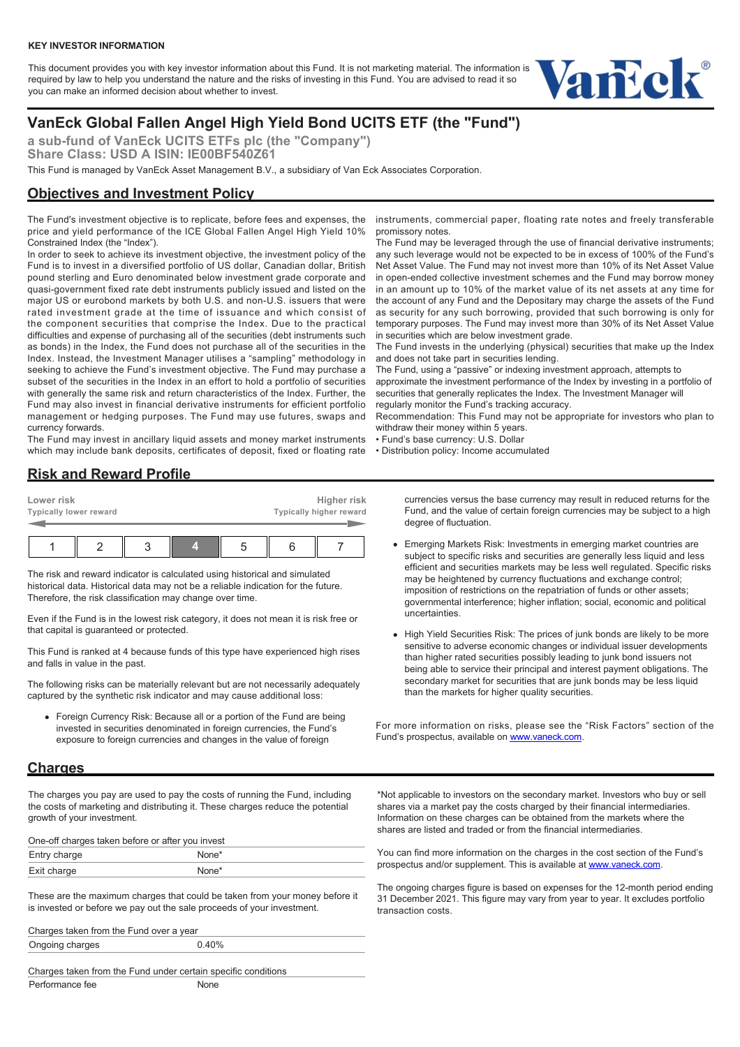This document provides you with key investor information about this Fund. It is not marketing material. The information is required by law to help you understand the nature and the risks of investing in this Fund. You are advised to read it so you can make an informed decision about whether to invest.



## **VanEck Global Fallen Angel High Yield Bond UCITS ETF (the "Fund")**

**a sub-fund of VanEck UCITS ETFs plc (the "Company") Share Class: USD A ISIN: IE00BF540Z61**

This Fund is managed by VanEck Asset Management B.V., a subsidiary of Van Eck Associates Corporation.

### **Objectives and Investment Policy**

The Fund's investment objective is to replicate, before fees and expenses, the price and yield performance of the ICE Global Fallen Angel High Yield 10% Constrained Index (the "Index").

In order to seek to achieve its investment objective, the investment policy of the Fund is to invest in a diversified portfolio of US dollar, Canadian dollar, British pound sterling and Euro denominated below investment grade corporate and quasi-government fixed rate debt instruments publicly issued and listed on the major US or eurobond markets by both U.S. and non-U.S. issuers that were rated investment grade at the time of issuance and which consist of the component securities that comprise the Index. Due to the practical difficulties and expense of purchasing all of the securities (debt instruments such as bonds) in the Index, the Fund does not purchase all of the securities in the Index. Instead, the Investment Manager utilises a "sampling" methodology in seeking to achieve the Fund's investment objective. The Fund may purchase a subset of the securities in the Index in an effort to hold a portfolio of securities with generally the same risk and return characteristics of the Index. Further, the Fund may also invest in financial derivative instruments for efficient portfolio management or hedging purposes. The Fund may use futures, swaps and currency forwards.

The Fund may invest in ancillary liquid assets and money market instruments which may include bank deposits, certificates of deposit, fixed or floating rate

## **Risk and Reward Profile**

| Lower risk | Typically lower reward |  | Higher risk<br>Typically higher reward |  |  |  |
|------------|------------------------|--|----------------------------------------|--|--|--|
|            |                        |  |                                        |  |  |  |

The risk and reward indicator is calculated using historical and simulated historical data. Historical data may not be a reliable indication for the future. Therefore, the risk classification may change over time.

Even if the Fund is in the lowest risk category, it does not mean it is risk free or that capital is guaranteed or protected.

This Fund is ranked at 4 because funds of this type have experienced high rises and falls in value in the past.

The following risks can be materially relevant but are not necessarily adequately captured by the synthetic risk indicator and may cause additional loss:

Foreign Currency Risk: Because all or a portion of the Fund are being invested in securities denominated in foreign currencies, the Fund's exposure to foreign currencies and changes in the value of foreign

#### **Charges**

The charges you pay are used to pay the costs of running the Fund, including the costs of marketing and distributing it. These charges reduce the potential growth of your investment.

One-off charges taken before or after you invest

| Entry charge              |  |  |  |
|---------------------------|--|--|--|
| Exit charge<br>LAIL VIIUI |  |  |  |

These are the maximum charges that could be taken from your money before it is invested or before we pay out the sale proceeds of your investment.

Charges taken from the Fund over a year Ongoing charges 0.40%

Charges taken from the Fund under certain specific conditions Performance fee None

instruments, commercial paper, floating rate notes and freely transferable promissory notes.

The Fund may be leveraged through the use of financial derivative instruments; any such leverage would not be expected to be in excess of 100% of the Fund's Net Asset Value. The Fund may not invest more than 10% of its Net Asset Value in open-ended collective investment schemes and the Fund may borrow money in an amount up to 10% of the market value of its net assets at any time for the account of any Fund and the Depositary may charge the assets of the Fund as security for any such borrowing, provided that such borrowing is only for temporary purposes. The Fund may invest more than 30% of its Net Asset Value in securities which are below investment grade.

The Fund invests in the underlying (physical) securities that make up the Index and does not take part in securities lending.

The Fund, using a "passive" or indexing investment approach, attempts to approximate the investment performance of the Index by investing in a portfolio of securities that generally replicates the Index. The Investment Manager will regularly monitor the Fund's tracking accuracy.

Recommendation: This Fund may not be appropriate for investors who plan to withdraw their money within 5 years.

- Fund's base currency: U.S. Dollar
- Distribution policy: Income accumulated

currencies versus the base currency may result in reduced returns for the Fund, and the value of certain foreign currencies may be subject to a high degree of fluctuation.

- Emerging Markets Risk: Investments in emerging market countries are subject to specific risks and securities are generally less liquid and less efficient and securities markets may be less well regulated. Specific risks may be heightened by currency fluctuations and exchange control; imposition of restrictions on the repatriation of funds or other assets; governmental interference; higher inflation; social, economic and political uncertainties.
- High Yield Securities Risk: The prices of junk bonds are likely to be more sensitive to adverse economic changes or individual issuer developments than higher rated securities possibly leading to junk bond issuers not being able to service their principal and interest payment obligations. The secondary market for securities that are junk bonds may be less liquid than the markets for higher quality securities.

For more information on risks, please see the "Risk Factors" section of the Fund's prospectus, available on [www.vaneck.com.](https://www.vaneck.com)

\*Not applicable to investors on the secondary market. Investors who buy or sell shares via a market pay the costs charged by their financial intermediaries. Information on these charges can be obtained from the markets where the shares are listed and traded or from the financial intermediaries.

You can find more information on the charges in the cost section of the Fund's prospectus and/or supplement. This is available at [www.vaneck.com](https://www.vaneck.com).

The ongoing charges figure is based on expenses for the 12-month period ending 31 December 2021. This figure may vary from year to year. It excludes portfolio transaction costs.